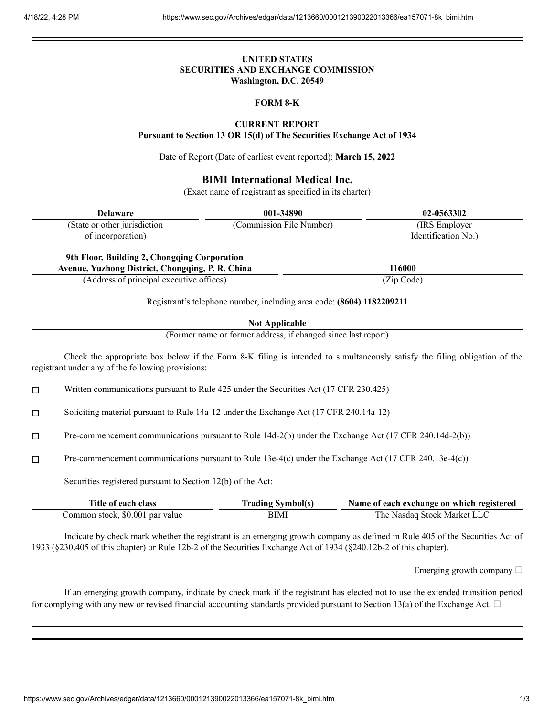## **UNITED STATES SECURITIES AND EXCHANGE COMMISSION Washington, D.C. 20549**

#### **FORM 8-K**

### **CURRENT REPORT**

**Pursuant to Section 13 OR 15(d) of The Securities Exchange Act of 1934**

Date of Report (Date of earliest event reported): **March 15, 2022**

# **BIMI International Medical Inc.**

(Exact name of registrant as specified in its charter)

| <b>Delaware</b>                                                                                  | 001-34890                | 02-0563302          |  |  |
|--------------------------------------------------------------------------------------------------|--------------------------|---------------------|--|--|
| (State or other jurisdiction                                                                     | (Commission File Number) | (IRS Employer)      |  |  |
| of incorporation)                                                                                |                          | Identification No.) |  |  |
| 9th Floor, Building 2, Chongqing Corporation<br>Avenue, Yuzhong District, Chongqing, P. R. China |                          | 116000              |  |  |
| (Address of principal executive offices)                                                         |                          | (Zip Code)          |  |  |

Registrant's telephone number, including area code: **(8604) 1182209211**

### **Not Applicable**

(Former name or former address, if changed since last report)

Check the appropriate box below if the Form 8-K filing is intended to simultaneously satisfy the filing obligation of the registrant under any of the following provisions:

 $\Box$  Written communications pursuant to Rule 425 under the Securities Act (17 CFR 230.425)

☐ Soliciting material pursuant to Rule 14a-12 under the Exchange Act (17 CFR 240.14a-12)

☐ Pre-commencement communications pursuant to Rule 14d-2(b) under the Exchange Act (17 CFR 240.14d-2(b))

☐ Pre-commencement communications pursuant to Rule 13e-4(c) under the Exchange Act (17 CFR 240.13e-4(c))

Securities registered pursuant to Section 12(b) of the Act:

| Title of each class             | <b>Trading Symbol(s)</b> | Name of each exchange on which registered |
|---------------------------------|--------------------------|-------------------------------------------|
| Common stock, \$0.001 par value | BIMI                     | The Nasdaq Stock Market LLC               |

Indicate by check mark whether the registrant is an emerging growth company as defined in Rule 405 of the Securities Act of 1933 (§230.405 of this chapter) or Rule 12b-2 of the Securities Exchange Act of 1934 (§240.12b-2 of this chapter).

Emerging growth company  $\Box$ 

If an emerging growth company, indicate by check mark if the registrant has elected not to use the extended transition period for complying with any new or revised financial accounting standards provided pursuant to Section 13(a) of the Exchange Act.  $\Box$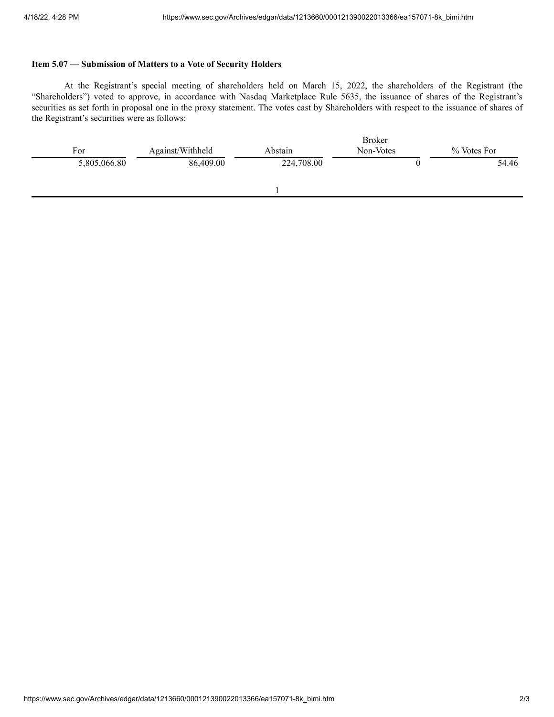# **Item 5.07 — Submission of Matters to a Vote of Security Holders**

At the Registrant's special meeting of shareholders held on March 15, 2022, the shareholders of the Registrant (the "Shareholders") voted to approve, in accordance with Nasdaq Marketplace Rule 5635, the issuance of shares of the Registrant's securities as set forth in proposal one in the proxy statement. The votes cast by Shareholders with respect to the issuance of shares of the Registrant's securities were as follows:

|              |                  | <b>Broker</b> |           |             |
|--------------|------------------|---------------|-----------|-------------|
| For          | Against/Withheld | Abstain       | Non-Votes | % Votes For |
| 5,805,066.80 | 86,409.00        | 224,708.00    |           | 54.46       |
|              |                  |               |           |             |